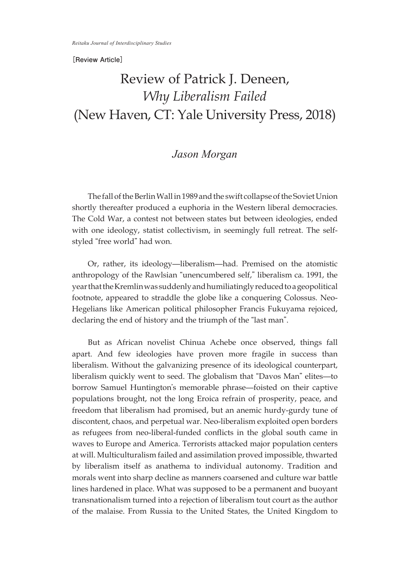## **[Review Article]**

## Review of Patrick J. Deneen, *Why Liberalism Failed* (New Haven, CT: Yale University Press, 2018)

## *Jason Morgan*

The fall of the Berlin Wall in 1989 and the swift collapse of the Soviet Union shortly thereafter produced a euphoria in the Western liberal democracies. The Cold War, a contest not between states but between ideologies, ended with one ideology, statist collectivism, in seemingly full retreat. The selfstyled "free world" had won.

Or, rather, its ideology—liberalism—had. Premised on the atomistic anthropology of the Rawlsian "unencumbered self," liberalism ca. 1991, the yearthattheKremlinwas suddenlyandhumiliatinglyreducedtoageopolitical footnote, appeared to straddle the globe like a conquering Colossus. Neo-Hegelians like American political philosopher Francis Fukuyama rejoiced, declaring the end of history and the triumph of the "last man".

But as African novelist Chinua Achebe once observed, things fall apart. And few ideologies have proven more fragile in success than liberalism. Without the galvanizing presence of its ideological counterpart, liberalism quickly went to seed. The globalism that "Davos Man" elites—to borrow Samuel Huntington's memorable phrase—foisted on their captive populations brought, not the long Eroica refrain of prosperity, peace, and freedom that liberalism had promised, but an anemic hurdy-gurdy tune of discontent, chaos, and perpetual war. Neo-liberalism exploited open borders as refugees from neo-liberal-funded conflicts in the global south came in waves to Europe and America. Terrorists attacked major population centers at will. Multiculturalism failed and assimilation proved impossible, thwarted by liberalism itself as anathema to individual autonomy. Tradition and morals went into sharp decline as manners coarsened and culture war battle lines hardened in place. What was supposed to be a permanent and buoyant transnationalism turned into a rejection of liberalism tout court as the author of the malaise. From Russia to the United States, the United Kingdom to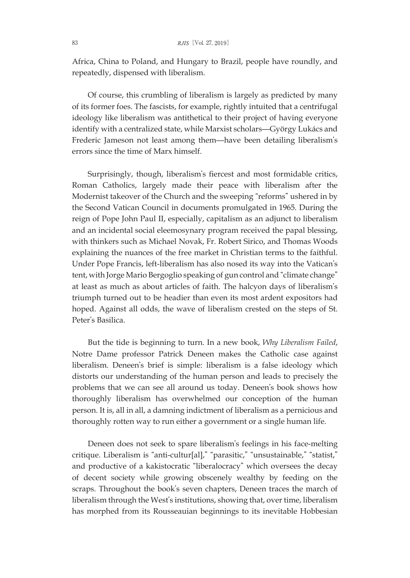Africa, China to Poland, and Hungary to Brazil, people have roundly, and repeatedly, dispensed with liberalism.

Of course, this crumbling of liberalism is largely as predicted by many of its former foes. The fascists, for example, rightly intuited that a centrifugal ideology like liberalism was antithetical to their project of having everyone identify with a centralized state, while Marxist scholars—György Lukács and Frederic Jameson not least among them—have been detailing liberalism's errors since the time of Marx himself.

Surprisingly, though, liberalism's fiercest and most formidable critics, Roman Catholics, largely made their peace with liberalism after the Modernist takeover of the Church and the sweeping "reforms" ushered in by the Second Vatican Council in documents promulgated in 1965. During the reign of Pope John Paul II, especially, capitalism as an adjunct to liberalism and an incidental social eleemosynary program received the papal blessing, with thinkers such as Michael Novak, Fr. Robert Sirico, and Thomas Woods explaining the nuances of the free market in Christian terms to the faithful. Under Pope Francis, left-liberalism has also nosed its way into the Vatican's tent, with Jorge Mario Bergoglio speaking of gun control and "climate change" at least as much as about articles of faith. The halcyon days of liberalism's triumph turned out to be headier than even its most ardent expositors had hoped. Against all odds, the wave of liberalism crested on the steps of St. Peter's Basilica.

But the tide is beginning to turn. In a new book, *Why Liberalism Failed*, Notre Dame professor Patrick Deneen makes the Catholic case against liberalism. Deneen's brief is simple: liberalism is a false ideology which distorts our understanding of the human person and leads to precisely the problems that we can see all around us today. Deneen's book shows how thoroughly liberalism has overwhelmed our conception of the human person. It is, all in all, a damning indictment of liberalism as a pernicious and thoroughly rotten way to run either a government or a single human life.

Deneen does not seek to spare liberalism's feelings in his face-melting critique. Liberalism is "anti-cultur[al]," "parasitic," "unsustainable," "statist," and productive of a kakistocratic "liberalocracy" which oversees the decay of decent society while growing obscenely wealthy by feeding on the scraps. Throughout the book's seven chapters, Deneen traces the march of liberalism through the West's institutions, showing that, over time, liberalism has morphed from its Rousseauian beginnings to its inevitable Hobbesian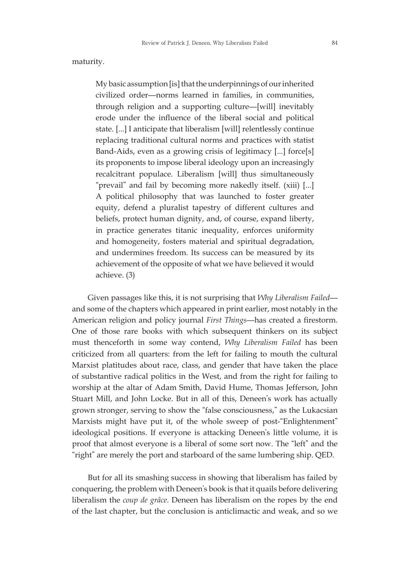maturity.

My basic assumption [is] that the underpinnings of our inherited civilized order—norms learned in families, in communities, through religion and a supporting culture—[will] inevitably erode under the influence of the liberal social and political state. [...] I anticipate that liberalism [will] relentlessly continue replacing traditional cultural norms and practices with statist Band-Aids, even as a growing crisis of legitimacy [...] force[s] its proponents to impose liberal ideology upon an increasingly recalcitrant populace. Liberalism [will] thus simultaneously "prevail" and fail by becoming more nakedly itself. (xiii) [...] A political philosophy that was launched to foster greater equity, defend a pluralist tapestry of different cultures and beliefs, protect human dignity, and, of course, expand liberty, in practice generates titanic inequality, enforces uniformity and homogeneity, fosters material and spiritual degradation, and undermines freedom. Its success can be measured by its achievement of the opposite of what we have believed it would achieve. (3)

Given passages like this, it is not surprising that *Why Liberalism Failed* and some of the chapters which appeared in print earlier, most notably in the American religion and policy journal *First Things*—has created a firestorm. One of those rare books with which subsequent thinkers on its subject must thenceforth in some way contend, *Why Liberalism Failed* has been criticized from all quarters: from the left for failing to mouth the cultural Marxist platitudes about race, class, and gender that have taken the place of substantive radical politics in the West, and from the right for failing to worship at the altar of Adam Smith, David Hume, Thomas Jefferson, John Stuart Mill, and John Locke. But in all of this, Deneen's work has actually grown stronger, serving to show the "false consciousness," as the Lukacsian Marxists might have put it, of the whole sweep of post-"Enlightenment" ideological positions. If everyone is attacking Deneen's little volume, it is proof that almost everyone is a liberal of some sort now. The "left" and the "right" are merely the port and starboard of the same lumbering ship. QED.

But for all its smashing success in showing that liberalism has failed by conquering, the problem with Deneen's book is that it quails before delivering liberalism the *coup de grâce*. Deneen has liberalism on the ropes by the end of the last chapter, but the conclusion is anticlimactic and weak, and so we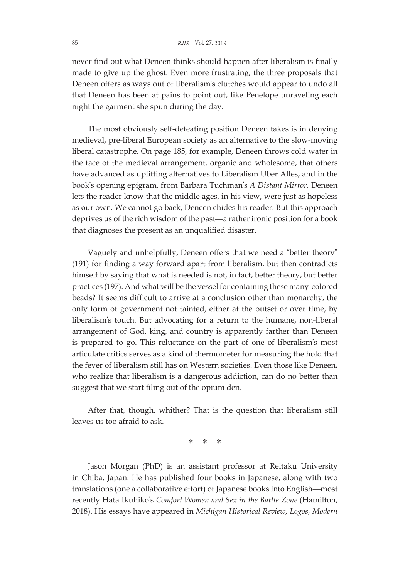## 85 *RJIS*[Vol. 27, 2019]

never find out what Deneen thinks should happen after liberalism is finally made to give up the ghost. Even more frustrating, the three proposals that Deneen offers as ways out of liberalism's clutches would appear to undo all that Deneen has been at pains to point out, like Penelope unraveling each night the garment she spun during the day.

The most obviously self-defeating position Deneen takes is in denying medieval, pre-liberal European society as an alternative to the slow-moving liberal catastrophe. On page 185, for example, Deneen throws cold water in the face of the medieval arrangement, organic and wholesome, that others have advanced as uplifting alternatives to Liberalism Uber Alles, and in the book's opening epigram, from Barbara Tuchman's *A Distant Mirror*, Deneen lets the reader know that the middle ages, in his view, were just as hopeless as our own. We cannot go back, Deneen chides his reader. But this approach deprives us of the rich wisdom of the past—a rather ironic position for a book that diagnoses the present as an unqualified disaster.

Vaguely and unhelpfully, Deneen offers that we need a "better theory" (191) for finding a way forward apart from liberalism, but then contradicts himself by saying that what is needed is not, in fact, better theory, but better practices (197). And what will be the vessel for containing these many-colored beads? It seems difficult to arrive at a conclusion other than monarchy, the only form of government not tainted, either at the outset or over time, by liberalism's touch. But advocating for a return to the humane, non-liberal arrangement of God, king, and country is apparently farther than Deneen is prepared to go. This reluctance on the part of one of liberalism's most articulate critics serves as a kind of thermometer for measuring the hold that the fever of liberalism still has on Western societies. Even those like Deneen, who realize that liberalism is a dangerous addiction, can do no better than suggest that we start filing out of the opium den.

After that, though, whither? That is the question that liberalism still leaves us too afraid to ask.

 $*$ 

Jason Morgan (PhD) is an assistant professor at Reitaku University in Chiba, Japan. He has published four books in Japanese, along with two translations (one a collaborative effort) of Japanese books into English—most recently Hata Ikuhiko's *Comfort Women and Sex in the Battle Zone* (Hamilton, 2018). His essays have appeared in *Michigan Historical Review, Logos, Modern*